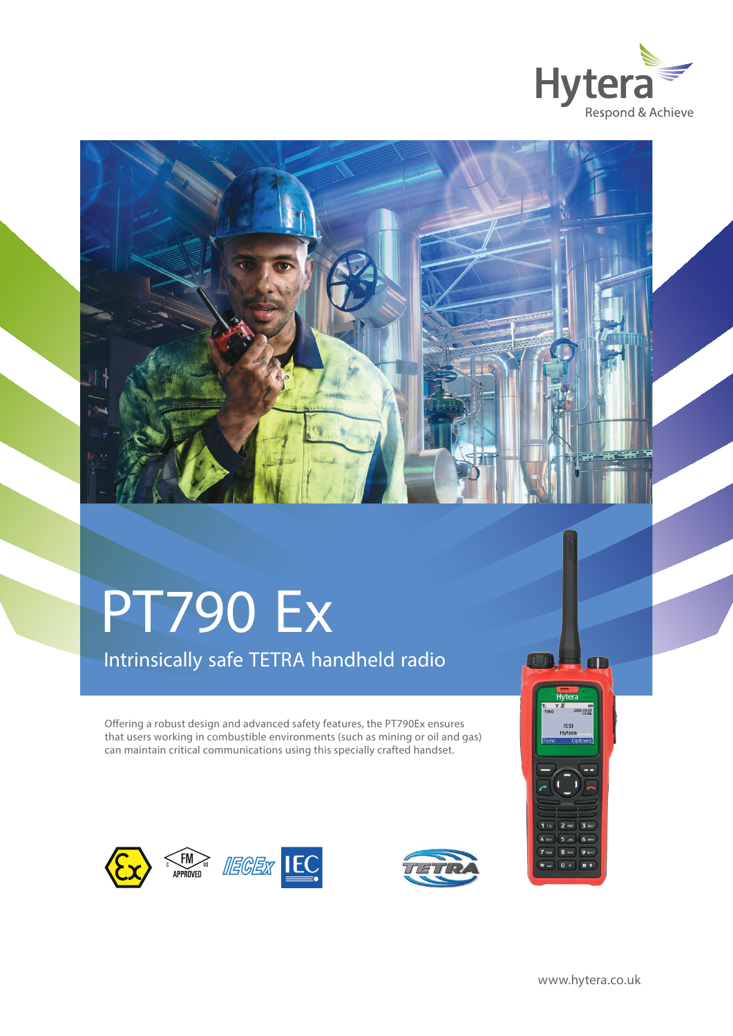



# PT790 Ex

Intrinsically safe TETRA handheld radio

Offering a robust design and advanced safety features, the PT790Ex ensures that users working in combustible environments (such as mining or oil and gas) can maintain critical communications using this specially crafted handset.











 $n +$ 

OD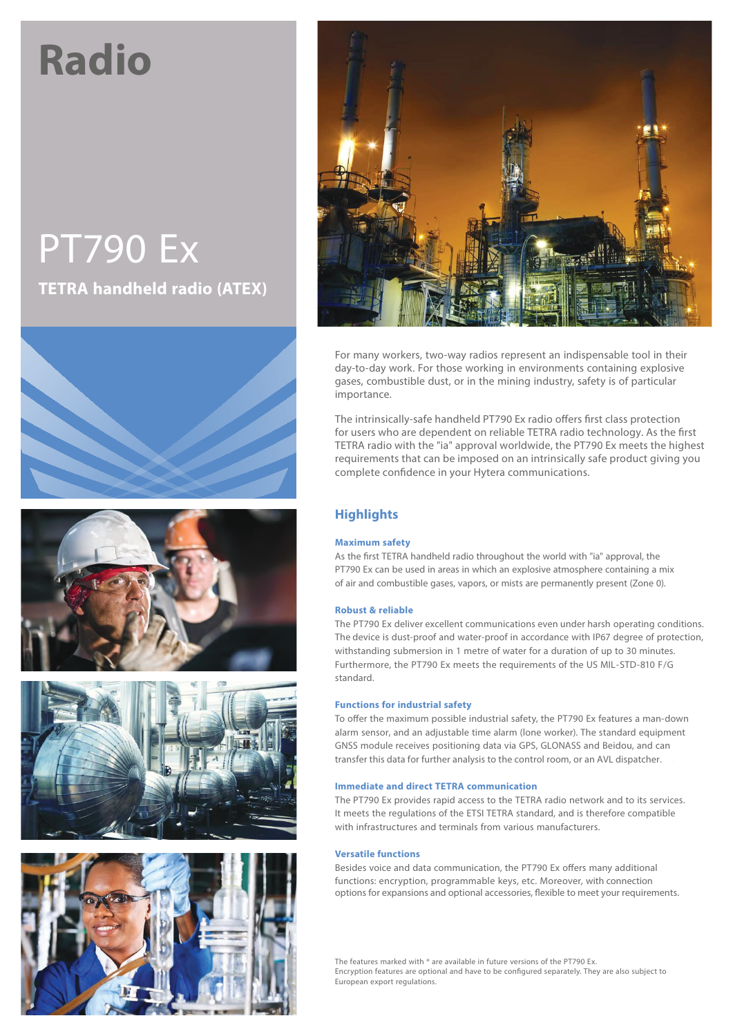# **Radio**

# PT790 Ex **TETRA handheld radio (ATEX)**











For many workers, two-way radios represent an indispensable tool in their day-to-day work. For those working in environments containing explosive gases, combustible dust, or in the mining industry, safety is of particular importance.

The intrinsically-safe handheld PT790 Ex radio offers first class protection for users who are dependent on reliable TETRA radio technology. As the first TETRA radio with the "ia" approval worldwide, the PT790 Ex meets the highest requirements that can be imposed on an intrinsically safe product giving you complete confidence in your Hytera communications.

### **Highlights**

#### **Maximum safety**

As the first TETRA handheld radio throughout the world with "ia" approval, the PT790 Ex can be used in areas in which an explosive atmosphere containing a mix of air and combustible gases, vapors, or mists are permanently present (Zone 0).

#### **Robust & reliable**

The PT790 Ex deliver excellent communications even under harsh operating conditions. The device is dust-proof and water-proof in accordance with IP67 degree of protection, withstanding submersion in 1 metre of water for a duration of up to 30 minutes. Furthermore, the PT790 Ex meets the requirements of the US MIL-STD-810 F/G standard.

#### **Functions for industrial safety**

To offer the maximum possible industrial safety, the PT790 Ex features a man-down alarm sensor, and an adjustable time alarm (lone worker). The standard equipment GNSS module receives positioning data via GPS, GLONASS and Beidou, and can transfer this data for further analysis to the control room, or an AVL dispatcher. .

#### **Immediate and direct TETRA communication**

The PT790 Ex provides rapid access to the TETRA radio network and to its services. It meets the regulations of the ETSI TETRA standard, and is therefore compatible with infrastructures and terminals from various manufacturers.

#### **Versatile functions**

Besides voice and data communication, the PT790 Ex offers many additional functions: encryption, programmable keys, etc. Moreover, with connection options for expansions and optional accessories, flexible to meet your requirements.

The features marked with \* are available in future versions of the PT790 Ex. Encryption features are optional and have to be configured separately. They are also subject to European export regulations.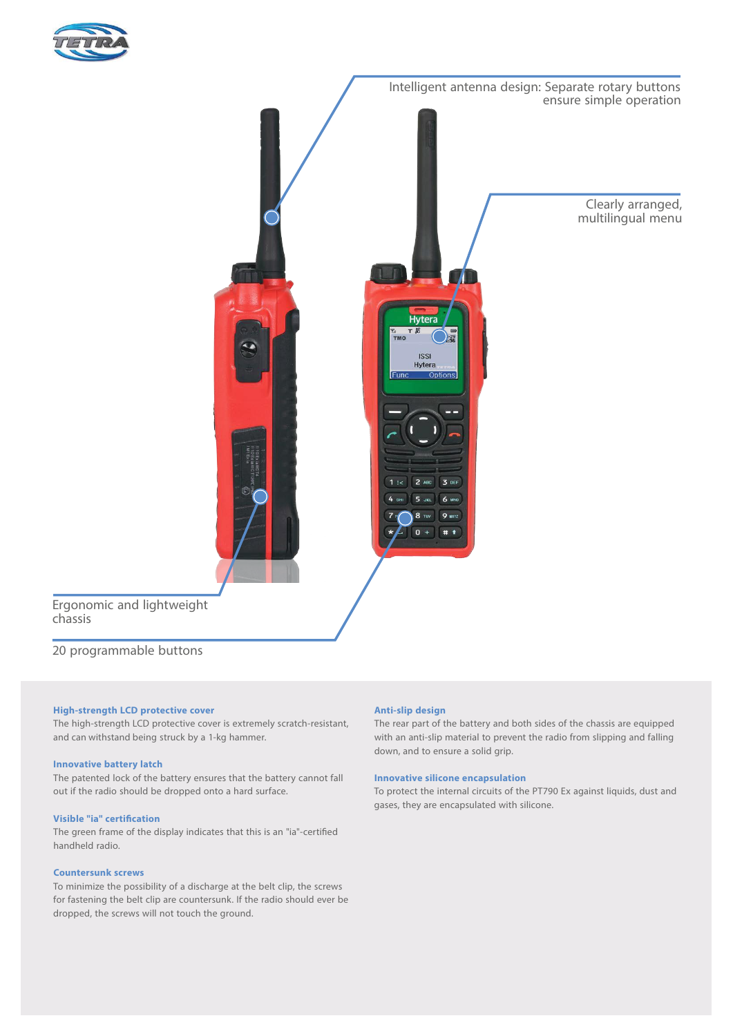



#### 20 programmable buttons

chassis

#### **High-strength LCD protective cover**

The high-strength LCD protective cover is extremely scratch-resistant, and can withstand being struck by a 1-kg hammer.

#### **Innovative battery latch**

The patented lock of the battery ensures that the battery cannot fall out if the radio should be dropped onto a hard surface.

#### **Visible** "ia" **certification**

The green frame of the display indicates that this is an "ia"-certified handheld radio.

#### **Countersunk screws**

To minimize the possibility of a discharge at the belt clip, the screws for fastening the belt clip are countersunk. If the radio should ever be dropped, the screws will not touch the ground.

#### **Anti-slip design**

The rear part of the battery and both sides of the chassis are equipped with an anti-slip material to prevent the radio from slipping and falling down, and to ensure a solid grip.

#### **Innovative silicone encapsulation**

To protect the internal circuits of the PT790 Ex against liquids, dust and gases, they are encapsulated with silicone.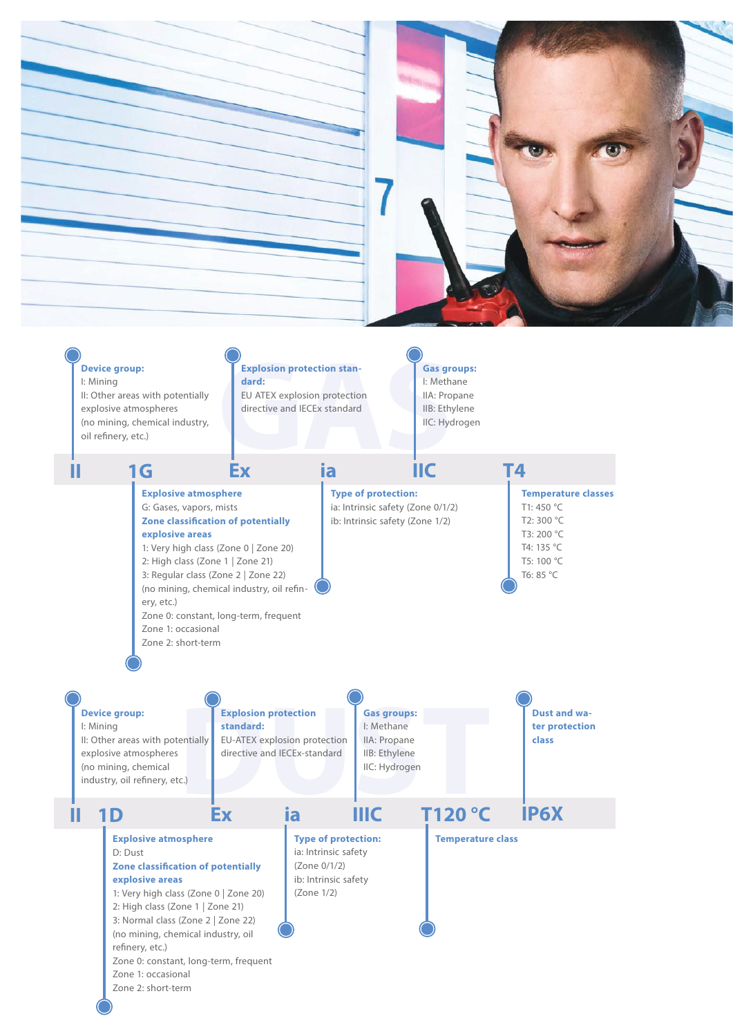

T4: 135 °C T5: 100 °C T6: 85 °C



1: Very high class (Zone 0 | Zone 20) 2: High class (Zone 1 | Zone 21) 3: Regular class (Zone 2 | Zone 22) (no mining, chemical industry, oil refin-

Zone 0: constant, long-term, frequent

ery, etc.)

Zone 1: occasional Zone 2: short-term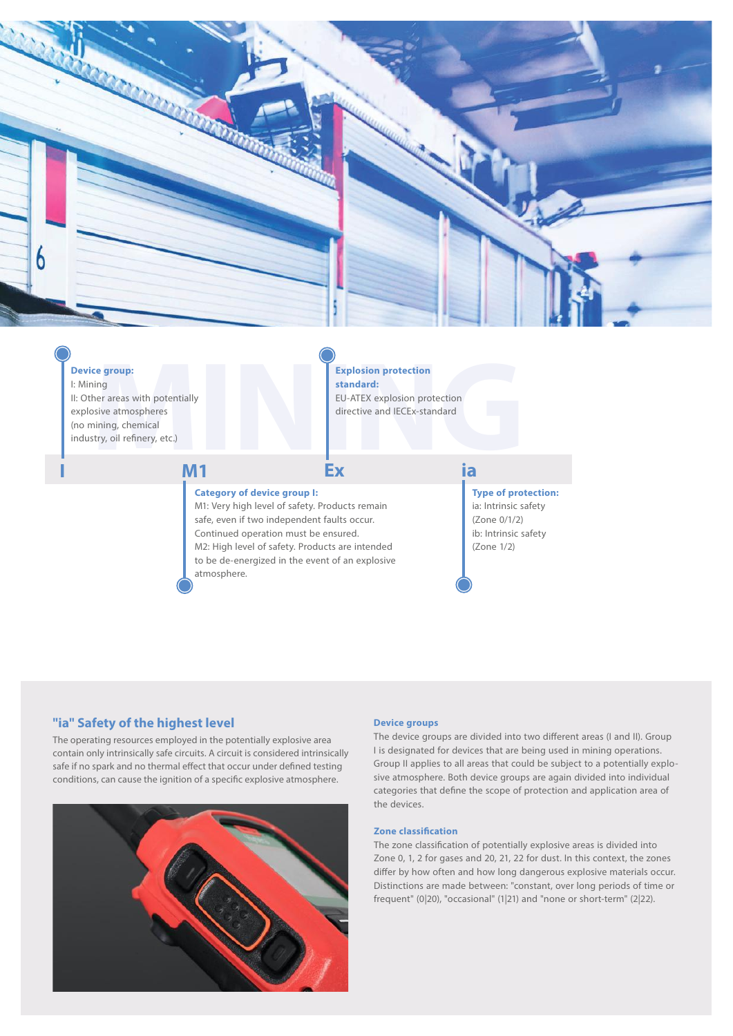

#### **Device group:**

**I**

**ce group:**<br>her areas with potentially<br>bsive atmospheres<br>nining, chemical<br>stry, oil refinery, etc.) I: Mining II: Other areas with potentially explosive atmospheres (no mining, chemical industry, oil refinery, etc.)

## Expl stan<br>
EU-A<br>
EU-A<br>
director<br> **INIPEX Nosion protection<br>
<b>NGAC:**<br>
NTEX explosion protection<br>
ctive and IECEx-standard<br> **NGC**<br> **NGC Explosion protection standard:** EU-ATEX explosion protection

directive and IECEx-standard

#### **Category of device group I:**

M1: Very high level of safety. Products remain safe, even if two independent faults occur. Continued operation must be ensured. M2: High level of safety. Products are intended to be de-energized in the event of an explosive atmosphere.

**Ex**

## **ia**

**Type of protection:** ia: Intrinsic safety (Zone 0/1/2) ib: Intrinsic safety (Zone 1/2)

#### **"ia" Safety of the highest level Device Device** groups

The operating resources employed in the potentially explosive area contain only intrinsically safe circuits. A circuit is considered intrinsically safe if no spark and no thermal effect that occur under defined testing conditions, can cause the ignition of a specific explosive atmosphere.

**M1**



The device groups are divided into two different areas (I and II). Group I is designated for devices that are being used in mining operations. Group II applies to all areas that could be subject to a potentially explosive atmosphere. Both device groups are again divided into individual categories that define the scope of protection and application area of the devices.

#### **Zone classification**

The zone classification of potentially explosive areas is divided into Zone 0, 1, 2 for gases and 20, 21, 22 for dust. In this context, the zones differ by how often and how long dangerous explosive materials occur. Distinctions are made between: "constant, over long periods of time or frequent" (0|20), "occasional" (1|21) and "none or short-term" (2|22).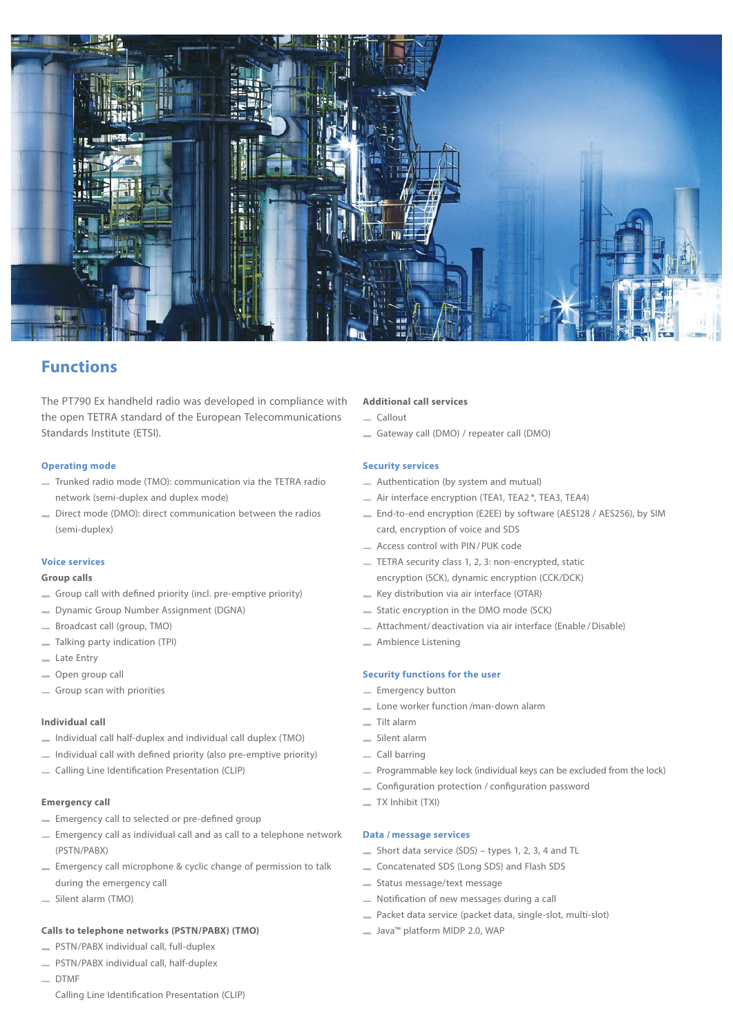

### **Functions**

The PT790 Ex handheld radio was developed in compliance with the open TETRA standard of the European Telecommunications Standards Institute (ETSI).

#### **Operating mode**

- Trunked radio mode (TMO): communication via the TETRA radio network (semi-duplex and duplex mode)
- Direct mode (DMO): direct communication between the radios (semi-duplex)

#### **Voice services**

#### **Group calls**

- Group call with defined priority (incl. pre-emptive priority)
- Dynamic Group Number Assignment (DGNA)
- Broadcast call (group, TMO)
- Talking party indication (TPI)
- Late Entry
- Open group call
- Group scan with priorities

#### **Individual call**

- $\equiv$  Individual call half-duplex and individual call duplex (TMO)
- $\equiv$  Individual call with defined priority (also pre-emptive priority)
- Calling Line Identification Presentation (CLIP)

#### **Emergency call**

- $=$  Emergency call to selected or pre-defined group
- Emergency call as individual call and as call to a telephone network (PSTN/PABX)
- Emergency call microphone & cyclic change of permission to talk during the emergency call
- Silent alarm (TMO)

#### **Calls to telephone networks (PSTN/PABX) (TMO)**

- PSTN/PABX individual call, full-duplex
- PSTN/PABX individual call, half-duplex
- $-$  DTMF

#### Calling Line Identification Presentation (CLIP)

#### **Additional call services**

- $C$ allout
- Gateway call (DMO) / repeater call (DMO)

#### **Security services**

- Authentication (by system and mutual)
- Air interface encryption (TEA1, TEA2 \*, TEA3, TEA4)
- End-to-end encryption (E2EE) by software (AES128 / AES256), by SIM card, encryption of voice and SDS
- Access control with PIN/PUK code
- TETRA security class 1, 2, 3: non-encrypted, static encryption (SCK), dynamic encryption (CCK/DCK)
- $=$  Key distribution via air interface (OTAR)
- Static encryption in the DMO mode (SCK)
- Attachment/deactivation via air interface (Enable /Disable)
- **Ambience Listening**

#### **Security functions for the user**

- Emergency button
- Lone worker function /man-down alarm
- Tilt alarm
- Silent alarm
- Call barring
- Programmable key lock (individual keys can be excluded from the lock)
- \_ Configuration protection / configuration password
- TX Inhibit (TXI)

#### **Data / message services**

- $S$ hort data service (SDS) types 1, 2, 3, 4 and TL
- Concatenated SDS (Long SDS) and Flash SDS
- Status message/text message
- $\equiv$  Notification of new messages during a call
- Packet data service (packet data, single-slot, multi-slot)
- Java™ platform MIDP 2.0, WAP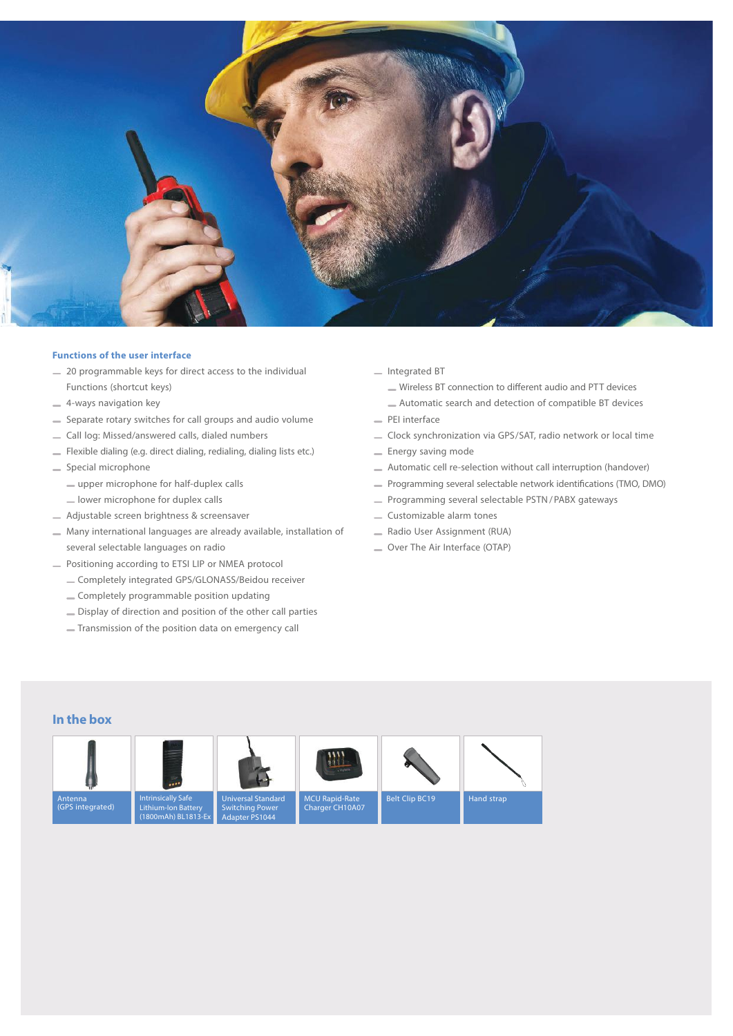

#### **Functions of the user interface**

- $=$  20 programmable keys for direct access to the individual Functions (shortcut keys)
- 4-ways navigation key
- Separate rotary switches for call groups and audio volume
- Call log: Missed/answered calls, dialed numbers
- Flexible dialing (e.g. direct dialing, redialing, dialing lists etc.)
- Special microphone
	- upper microphone for half-duplex calls
	- lower microphone for duplex calls
- Adjustable screen brightness & screensaver
- Many international languages are already available, installation of several selectable languages on radio
- Positioning according to ETSI LIP or NMEA protocol
	- Completely integrated GPS/GLONASS/Beidou receiver
	- Completely programmable position updating
	- Display of direction and position of the other call parties
	- Transmission of the position data on emergency call
- Integrated BT
	- Wireless BT connection to different audio and PTT devices
	- Automatic search and detection of compatible BT devices
- PEI interface
- Clock synchronization via GPS/SAT, radio network or local time
- $=$  Energy saving mode
- Automatic cell re-selection without call interruption (handover)
- Programming several selectable network identifications (TMO, DMO)
- Programming several selectable PSTN/PABX gateways
- Customizable alarm tones
- Radio User Assignment (RUA)
- Over The Air Interface (OTAP)

#### **In the box**